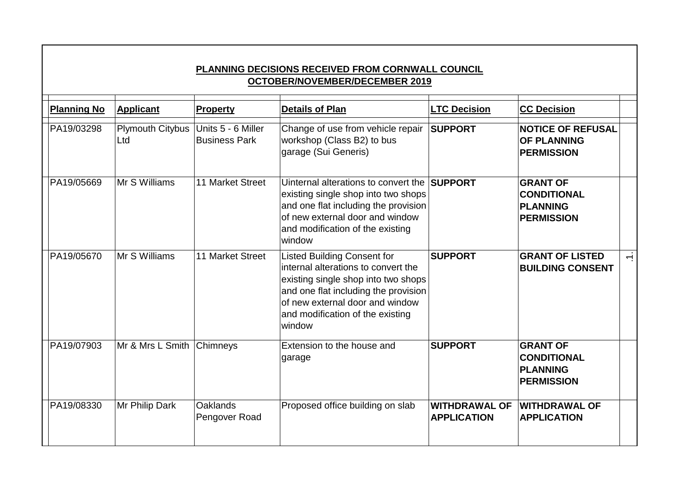| <b>PLANNING DECISIONS RECEIVED FROM CORNWALL COUNCIL</b><br><b>OCTOBER/NOVEMBER/DECEMBER 2019</b> |                                |                                            |                                                                                                                                                                                                                                           |                                            |                                                                               |        |  |  |  |  |  |
|---------------------------------------------------------------------------------------------------|--------------------------------|--------------------------------------------|-------------------------------------------------------------------------------------------------------------------------------------------------------------------------------------------------------------------------------------------|--------------------------------------------|-------------------------------------------------------------------------------|--------|--|--|--|--|--|
| <b>Planning No</b>                                                                                | <b>Applicant</b>               | <b>Property</b>                            | <b>Details of Plan</b>                                                                                                                                                                                                                    | <b>LTC Decision</b>                        | <b>CC Decision</b>                                                            |        |  |  |  |  |  |
| PA19/03298                                                                                        | <b>Plymouth Citybus</b><br>Ltd | Units 5 - 6 Miller<br><b>Business Park</b> | Change of use from vehicle repair<br>workshop (Class B2) to bus<br>garage (Sui Generis)                                                                                                                                                   | <b>SUPPORT</b>                             | <b>NOTICE OF REFUSAL</b><br><b>OF PLANNING</b><br><b>PERMISSION</b>           |        |  |  |  |  |  |
| PA19/05669                                                                                        | Mr S Williams                  | 11 Market Street                           | Uinternal alterations to convert the<br>existing single shop into two shops<br>and one flat including the provision<br>of new external door and window<br>and modification of the existing<br>window                                      | <b>SUPPORT</b>                             | <b>GRANT OF</b><br><b>CONDITIONAL</b><br><b>PLANNING</b><br><b>PERMISSION</b> |        |  |  |  |  |  |
| PA19/05670                                                                                        | Mr S Williams                  | 11 Market Street                           | <b>Listed Building Consent for</b><br>internal alterations to convert the<br>existing single shop into two shops<br>and one flat including the provision<br>of new external door and window<br>and modification of the existing<br>window | <b>SUPPORT</b>                             | <b>GRANT OF LISTED</b><br><b>BUILDING CONSENT</b>                             | $\div$ |  |  |  |  |  |
| PA19/07903                                                                                        | Mr & Mrs L Smith               | Chimneys                                   | Extension to the house and<br>garage                                                                                                                                                                                                      | <b>SUPPORT</b>                             | <b>GRANT OF</b><br><b>CONDITIONAL</b><br>PLANNING<br><b>PERMISSION</b>        |        |  |  |  |  |  |
| PA19/08330                                                                                        | Mr Philip Dark                 | <b>Oaklands</b><br>Pengover Road           | Proposed office building on slab                                                                                                                                                                                                          | <b>WITHDRAWAL OF</b><br><b>APPLICATION</b> | <b>WITHDRAWAL OF</b><br><b>APPLICATION</b>                                    |        |  |  |  |  |  |